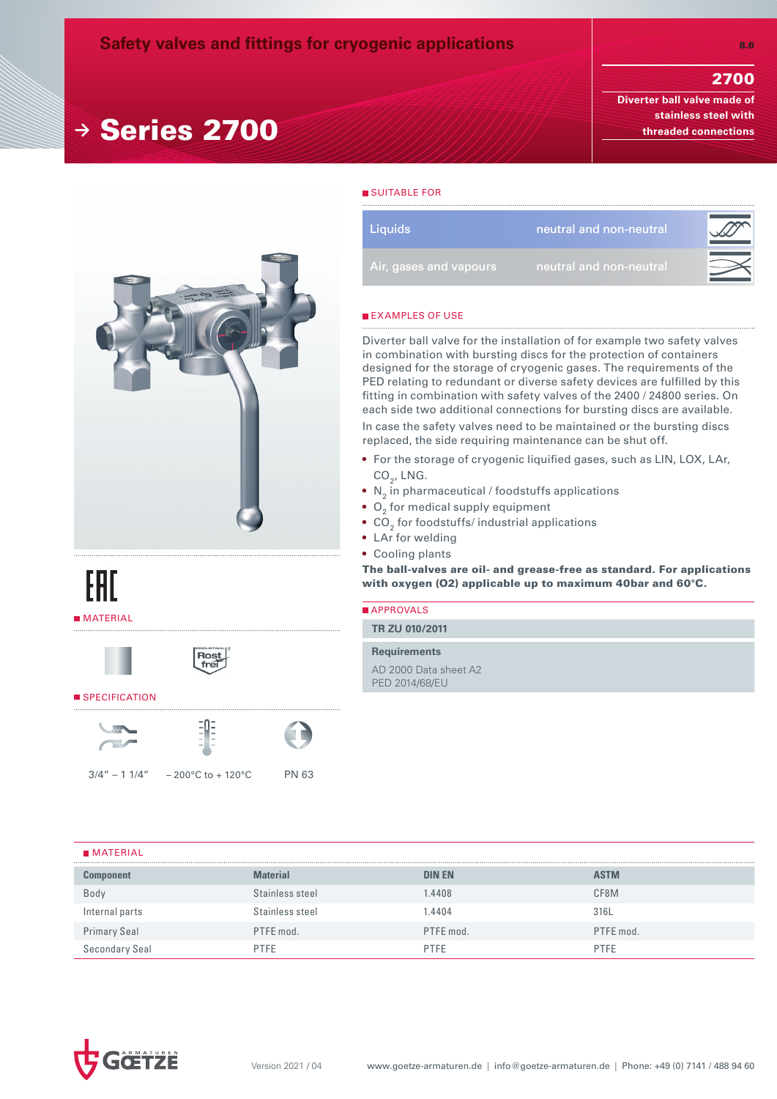# 2700

8.6

**Diverter ball valve made of stainless steel with threaded connections** 



**<sup>→</sup>** Series 2700

| EAL        |
|------------|
| ∎ MATERIAL |





#### SPECIFICATION





 $3/4'' - 11/4'' - 200°C$  to + 120°C PN 63



SUITABLE FOR

| Liquids                | neutral and non-neutral |  |
|------------------------|-------------------------|--|
| Air, gases and vapours | neutral and non-neutral |  |
|                        |                         |  |

#### **EXAMPLES OF USE**

Diverter ball valve for the installation of for example two safety valves in combination with bursting discs for the protection of containers designed for the storage of cryogenic gases. The requirements of the PED relating to redundant or diverse safety devices are fulfilled by this fitting in combination with safety valves of the 2400 / 24800 series. On each side two additional connections for bursting discs are available.

In case the safety valves need to be maintained or the bursting discs replaced, the side requiring maintenance can be shut off.

- For the storage of cryogenic liquified gases, such as LIN, LOX, LAr,  $CO<sub>2</sub>$ , LNG.
- $\bullet$  N<sub>2</sub> in pharmaceutical / foodstuffs applications
- $\bullet$  O<sub>2</sub> for medical supply equipment
- $\bullet$  CO $_2$  for foodstuffs/ industrial applications
- LAr for welding
- Cooling plants

The ball-valves are oil- and grease-free as standard. For applications with oxygen (O2) applicable up to maximum 40bar and 60°C.

| APPROVALS                               |
|-----------------------------------------|
| TR ZU 010/2011                          |
| <b>Requirements</b>                     |
| AD 2000 Data sheet A2<br>PED 2014/68/EU |
|                                         |

### **MATERIAL**

| <b>Component</b>    | <b>Material</b> | <b>DIN EN</b> | <b>ASTM</b> |  |  |  |
|---------------------|-----------------|---------------|-------------|--|--|--|
| Body                | Stainless steel | .4408         | CF8M        |  |  |  |
| Internal parts      | Stainless steel | .4404         | 316L        |  |  |  |
| <b>Primary Seal</b> | PTFE mod.       | PTFE mod.     | PTFE mod.   |  |  |  |
| Secondary Seal      | <b>PTFE</b>     | <b>PTFE</b>   | <b>PTFF</b> |  |  |  |

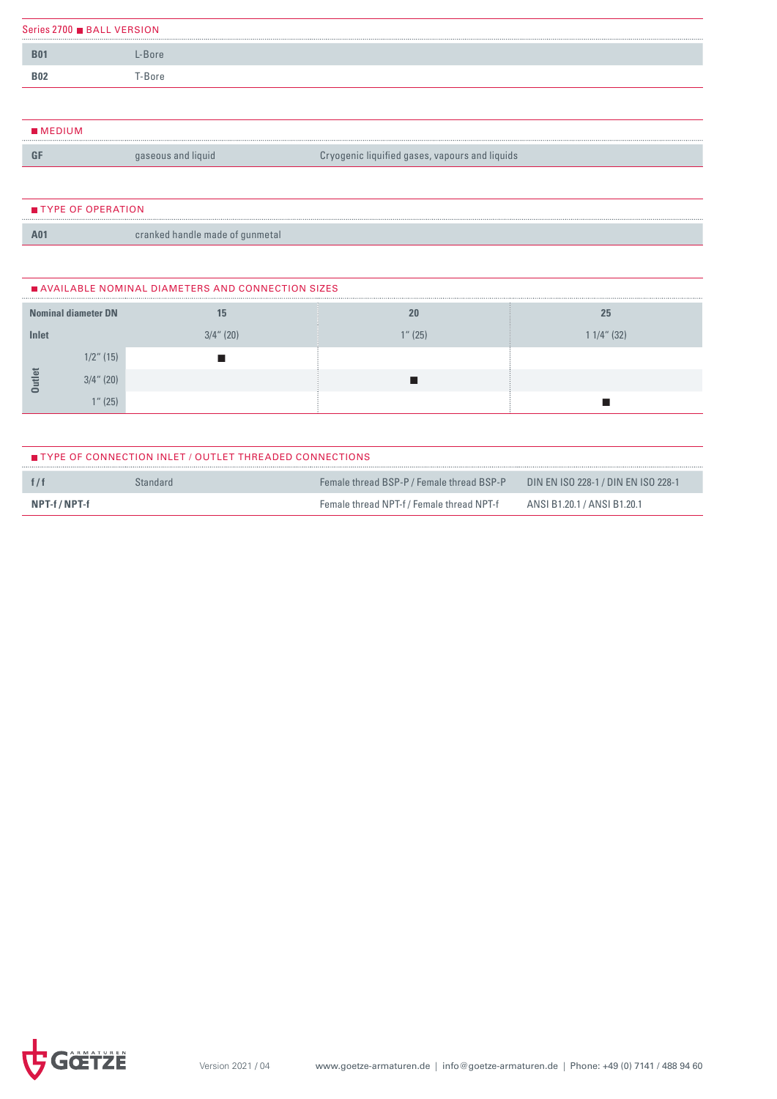| Series 2700 BALL VERSION |       |  |  |  |  |
|--------------------------|-------|--|--|--|--|
| <b>B01</b>               | -Bore |  |  |  |  |
| <b>B02</b>               | -Bore |  |  |  |  |
|                          |       |  |  |  |  |

| $\blacksquare$ MEDIUM |                    |                                                |
|-----------------------|--------------------|------------------------------------------------|
|                       | gaseous and liquid | Cryogenic liquified gases, vapours and liquids |
|                       |                    |                                                |

| $\blacksquare$ TYPE OF OPERATION |                                 |
|----------------------------------|---------------------------------|
| A <sub>01</sub>                  | cranked handle made of gunmetal |

| AVAILABLE NOMINAL DIAMETERS AND CONNECTION SIZES |                            |              |         |             |  |  |  |  |
|--------------------------------------------------|----------------------------|--------------|---------|-------------|--|--|--|--|
|                                                  | <b>Nominal diameter DN</b> | 15           | 20      | 25          |  |  |  |  |
| Inlet                                            |                            | $3/4$ " (20) | 1" (25) | 1 1/4" (32) |  |  |  |  |
|                                                  | $1/2$ " (15)               |              |         |             |  |  |  |  |
| Φ                                                | $3/4$ " (20)               |              |         |             |  |  |  |  |
|                                                  | (25)                       |              |         |             |  |  |  |  |

| <b>TYPE OF CONNECTION INLET / OUTLET THREADED CONNECTIONS</b> |          |                                           |                                     |  |  |  |
|---------------------------------------------------------------|----------|-------------------------------------------|-------------------------------------|--|--|--|
|                                                               | Standard | Female thread BSP-P / Female thread BSP-P | DIN EN ISO 228-1 / DIN EN ISO 228-1 |  |  |  |
| NPT-f / NPT-f                                                 |          | Female thread NPT-f / Female thread NPT-f | ANSI B1.20.1 / ANSI B1.20.1         |  |  |  |

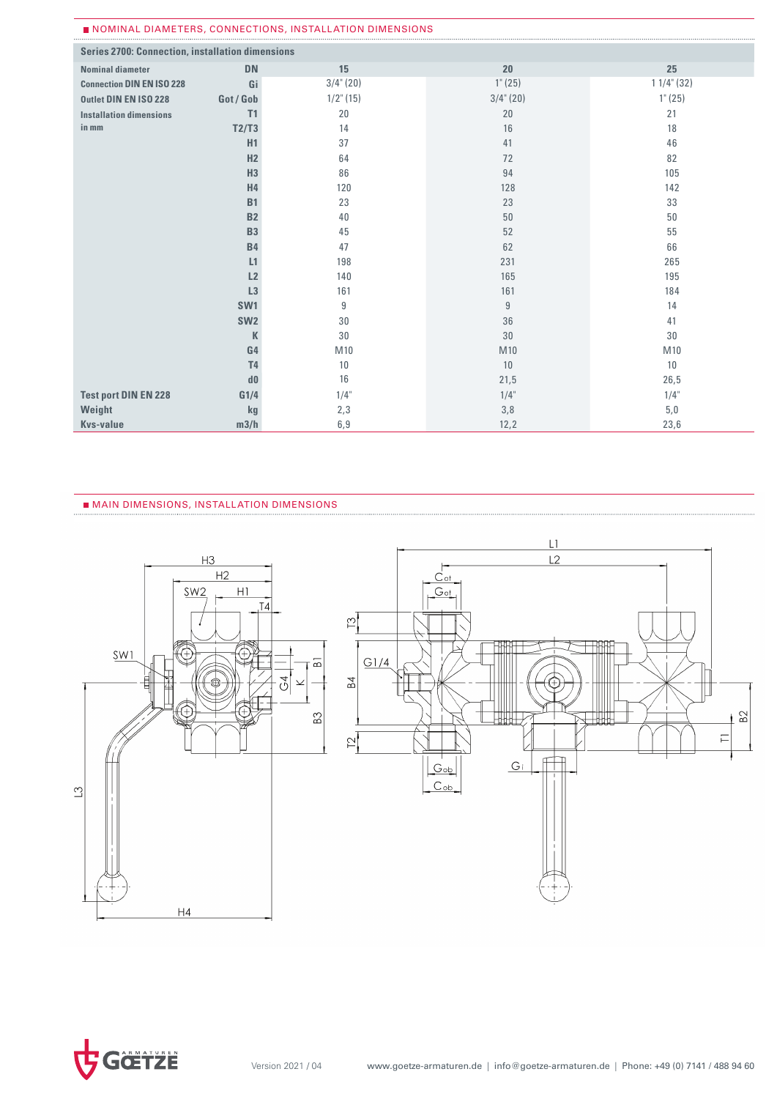| NOMINAL DIAMETERS, CONNECTIONS, INSTALLATION DIMENSIONS |                 |              |                  |                  |  |  |  |  |
|---------------------------------------------------------|-----------------|--------------|------------------|------------------|--|--|--|--|
| <b>Series 2700: Connection, installation dimensions</b> |                 |              |                  |                  |  |  |  |  |
| <b>Nominal diameter</b>                                 | <b>DN</b>       | 15           | 20               | 25               |  |  |  |  |
| <b>Connection DIN EN ISO 228</b>                        | Gi              | $3/4$ " (20) | $1^{\circ} (25)$ | $11/4$ " (32)    |  |  |  |  |
| Outlet DIN EN ISO 228                                   | Got / Gob       | $1/2$ " (15) | $3/4$ " (20)     | $1^{\circ} (25)$ |  |  |  |  |
| <b>Installation dimensions</b>                          | T1              | 20           | 20               | 21               |  |  |  |  |
| in mm                                                   | T2/T3           | 14           | 16               | 18               |  |  |  |  |
|                                                         | H1              | 37           | 41               | 46               |  |  |  |  |
|                                                         | H2              | 64           | 72               | 82               |  |  |  |  |
|                                                         | H <sub>3</sub>  | 86           | 94               | 105              |  |  |  |  |
|                                                         | H <sub>4</sub>  | 120          | 128              | 142              |  |  |  |  |
|                                                         | <b>B1</b>       | 23           | 23               | 33               |  |  |  |  |
|                                                         | <b>B2</b>       | 40           | 50               | 50               |  |  |  |  |
|                                                         | <b>B3</b>       | 45           | 52               | 55               |  |  |  |  |
|                                                         | <b>B4</b>       | 47           | 62               | 66               |  |  |  |  |
|                                                         | L1              | 198          | 231              | 265              |  |  |  |  |
|                                                         | L2              | 140          | 165              | 195              |  |  |  |  |
|                                                         | L3              | 161          | 161              | 184              |  |  |  |  |
|                                                         | SW <sub>1</sub> | 9            | 9                | 14               |  |  |  |  |
|                                                         | SW <sub>2</sub> | 30           | 36               | 41               |  |  |  |  |
|                                                         | K               | 30           | 30               | 30               |  |  |  |  |
|                                                         | G <sub>4</sub>  | M10          | M10              | M10              |  |  |  |  |
|                                                         | T <sub>4</sub>  | 10           | 10               | 10               |  |  |  |  |
|                                                         | d0              | 16           | 21,5             | 26,5             |  |  |  |  |
| <b>Test port DIN EN 228</b>                             | G1/4            | $1/4$ "      | $1/4$ "          | $1/4$ "          |  |  |  |  |
| Weight                                                  | kg              | 2,3          | 3,8              | 5,0              |  |  |  |  |
| <b>Kvs-value</b>                                        | m3/h            | 6,9          | 12,2             | 23,6             |  |  |  |  |

 $\frac{1}{\sqrt{2}}$ 

#### MAIN DIMENSIONS, INSTALLATION DIMENSIONS